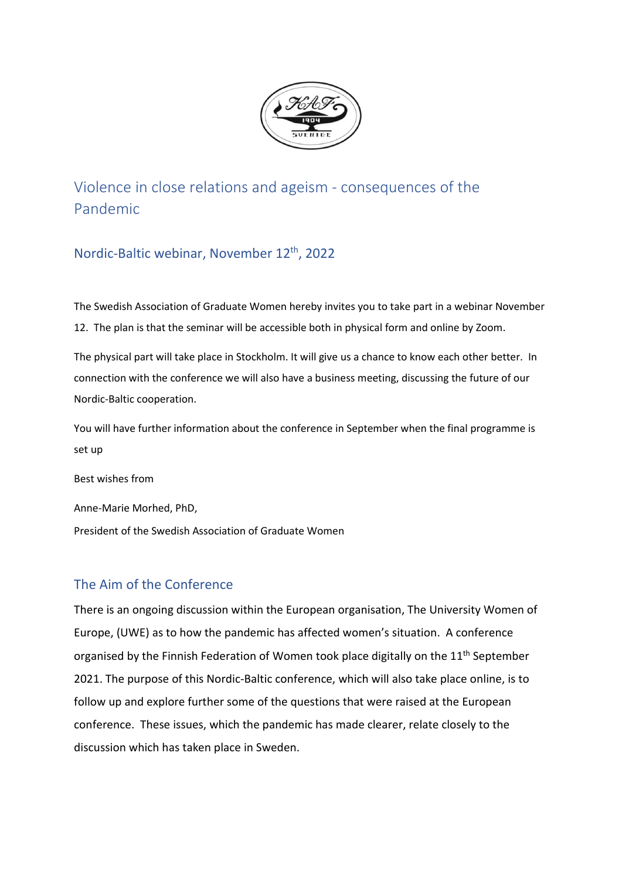

Violence in close relations and ageism - consequences of the Pandemic

Nordic-Baltic webinar, November 12th, 2022

The Swedish Association of Graduate Women hereby invites you to take part in a webinar November 12. The plan is that the seminar will be accessible both in physical form and online by Zoom.

The physical part will take place in Stockholm. It will give us a chance to know each other better. In connection with the conference we will also have a business meeting, discussing the future of our Nordic-Baltic cooperation.

You will have further information about the conference in September when the final programme is set up

Best wishes from

Anne-Marie Morhed, PhD,

President of the Swedish Association of Graduate Women

# The Aim of the Conference

There is an ongoing discussion within the European organisation, The University Women of Europe, (UWE) as to how the pandemic has affected women's situation. A conference organised by the Finnish Federation of Women took place digitally on the  $11<sup>th</sup>$  September 2021. The purpose of this Nordic-Baltic conference, which will also take place online, is to follow up and explore further some of the questions that were raised at the European conference. These issues, which the pandemic has made clearer, relate closely to the discussion which has taken place in Sweden.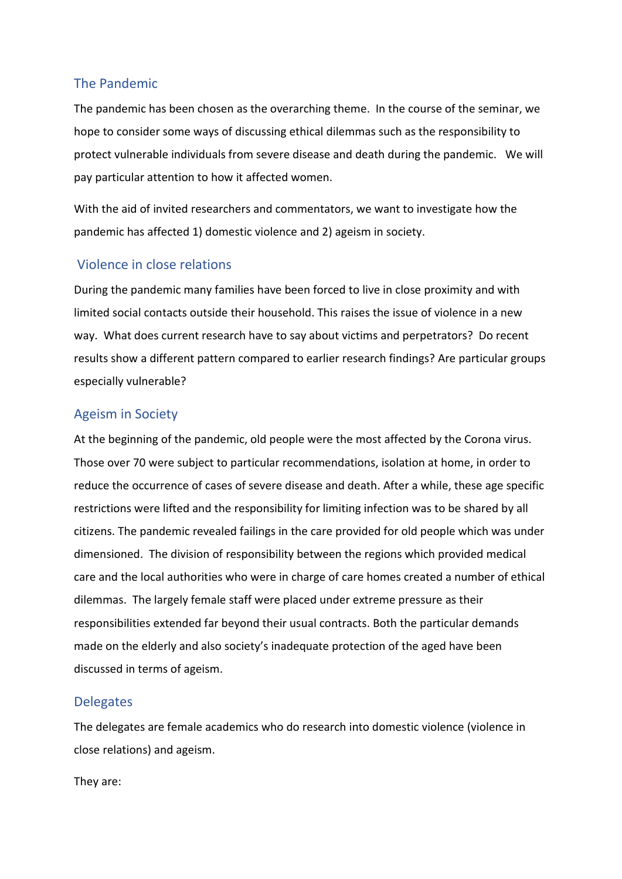## The Pandemic

The pandemic has been chosen as the overarching theme. In the course of the seminar, we hope to consider some ways of discussing ethical dilemmas such as the responsibility to protect vulnerable individuals from severe disease and death during the pandemic. We will pay particular attention to how it affected women.

With the aid of invited researchers and commentators, we want to investigate how the pandemic has affected 1) domestic violence and 2) ageism in society.

## Violence in close relations

During the pandemic many families have been forced to live in close proximity and with limited social contacts outside their household. This raises the issue of violence in a new way. What does current research have to say about victims and perpetrators? Do recent results show a different pattern compared to earlier research findings? Are particular groups especially vulnerable?

# Ageism in Society

At the beginning of the pandemic, old people were the most affected by the Corona virus. Those over 70 were subject to particular recommendations, isolation at home, in order to reduce the occurrence of cases of severe disease and death. After a while, these age specific restrictions were lifted and the responsibility for limiting infection was to be shared by all citizens. The pandemic revealed failings in the care provided for old people which was under dimensioned. The division of responsibility between the regions which provided medical care and the local authorities who were in charge of care homes created a number of ethical dilemmas. The largely female staff were placed under extreme pressure as their responsibilities extended far beyond their usual contracts. Both the particular demands made on the elderly and also society's inadequate protection of the aged have been discussed in terms of ageism.

## **Delegates**

The delegates are female academics who do research into domestic violence (violence in close relations) and ageism.

They are: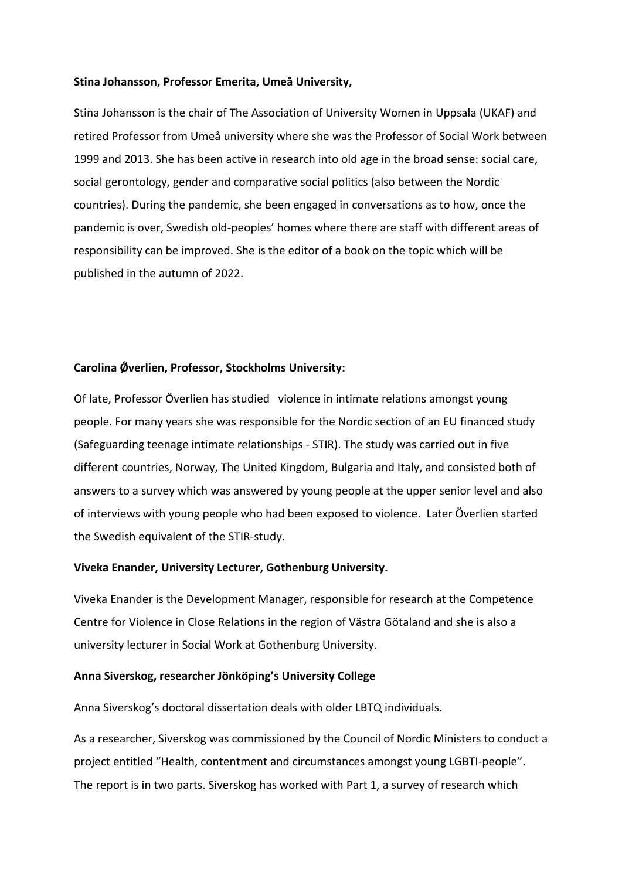#### **Stina Johansson, Professor Emerita, Umeå University,**

Stina Johansson is the chair of The Association of University Women in Uppsala (UKAF) and retired Professor from Umeå university where she was the Professor of Social Work between 1999 and 2013. She has been active in research into old age in the broad sense: social care, social gerontology, gender and comparative social politics (also between the Nordic countries). During the pandemic, she been engaged in conversations as to how, once the pandemic is over, Swedish old-peoples' homes where there are staff with different areas of responsibility can be improved. She is the editor of a book on the topic which will be published in the autumn of 2022.

#### **Carolina Ǿverlien, Professor, Stockholms University:**

Of late, Professor Överlien has studied violence in intimate relations amongst young people. For many years she was responsible for the Nordic section of an EU financed study (Safeguarding teenage intimate relationships - STIR). The study was carried out in five different countries, Norway, The United Kingdom, Bulgaria and Italy, and consisted both of answers to a survey which was answered by young people at the upper senior level and also of interviews with young people who had been exposed to violence. Later Överlien started the Swedish equivalent of the STIR-study.

### **Viveka Enander, University Lecturer, Gothenburg University.**

Viveka Enander is the Development Manager, responsible for research at the Competence Centre for Violence in Close Relations in the region of Västra Götaland and she is also a university lecturer in Social Work at Gothenburg University.

### **Anna Siverskog, researcher Jönköping's University College**

Anna Siverskog's doctoral dissertation deals with older LBTQ individuals.

As a researcher, Siverskog was commissioned by the Council of Nordic Ministers to conduct a project entitled "Health, contentment and circumstances amongst young LGBTI-people". The report is in two parts. Siverskog has worked with Part 1, a survey of research which